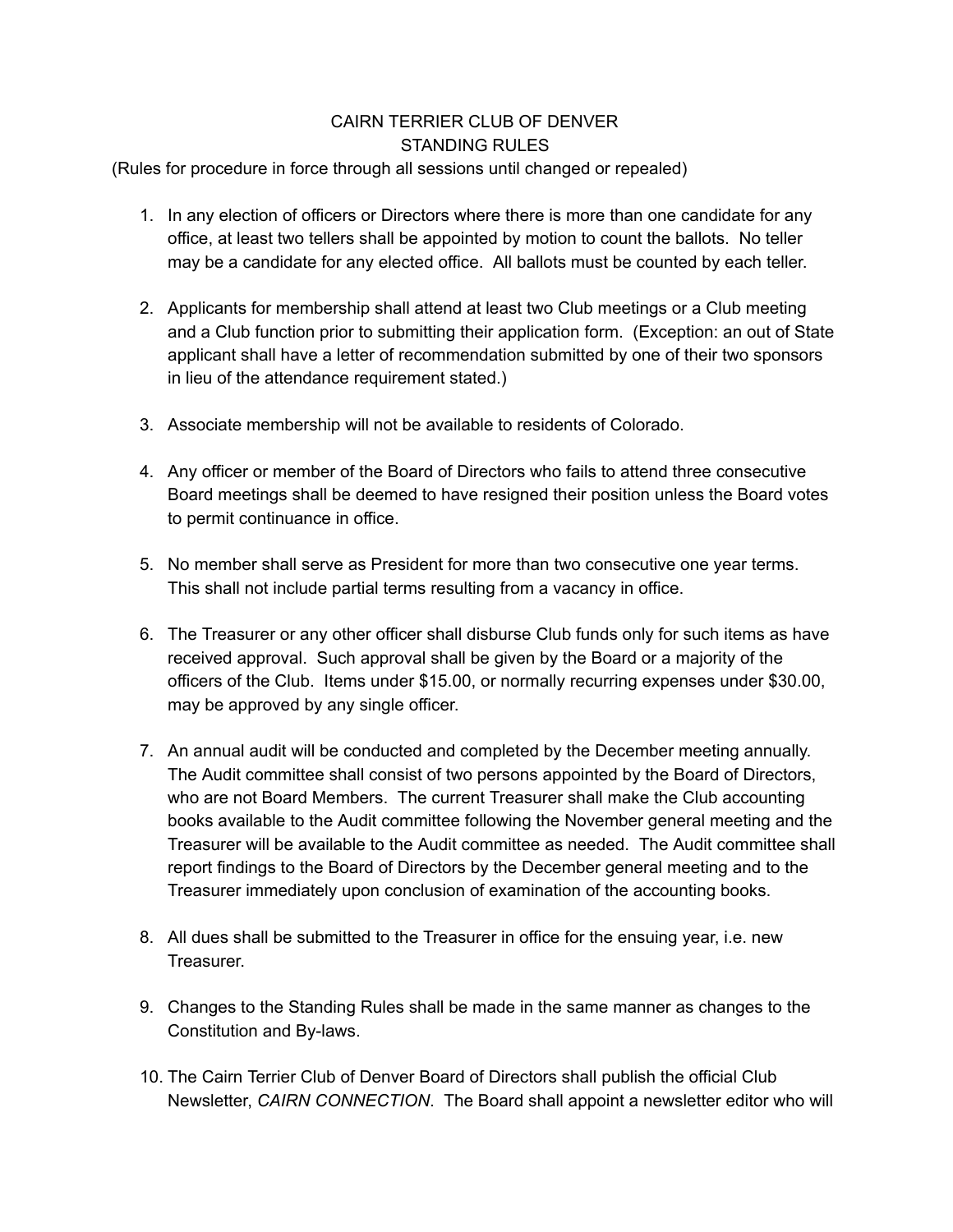## CAIRN TERRIER CLUB OF DENVER STANDING RULES

(Rules for procedure in force through all sessions until changed or repealed)

- 1. In any election of officers or Directors where there is more than one candidate for any office, at least two tellers shall be appointed by motion to count the ballots. No teller may be a candidate for any elected office. All ballots must be counted by each teller.
- 2. Applicants for membership shall attend at least two Club meetings or a Club meeting and a Club function prior to submitting their application form. (Exception: an out of State applicant shall have a letter of recommendation submitted by one of their two sponsors in lieu of the attendance requirement stated.)
- 3. Associate membership will not be available to residents of Colorado.
- 4. Any officer or member of the Board of Directors who fails to attend three consecutive Board meetings shall be deemed to have resigned their position unless the Board votes to permit continuance in office.
- 5. No member shall serve as President for more than two consecutive one year terms. This shall not include partial terms resulting from a vacancy in office.
- 6. The Treasurer or any other officer shall disburse Club funds only for such items as have received approval. Such approval shall be given by the Board or a majority of the officers of the Club. Items under \$15.00, or normally recurring expenses under \$30.00, may be approved by any single officer.
- 7. An annual audit will be conducted and completed by the December meeting annually. The Audit committee shall consist of two persons appointed by the Board of Directors, who are not Board Members. The current Treasurer shall make the Club accounting books available to the Audit committee following the November general meeting and the Treasurer will be available to the Audit committee as needed. The Audit committee shall report findings to the Board of Directors by the December general meeting and to the Treasurer immediately upon conclusion of examination of the accounting books.
- 8. All dues shall be submitted to the Treasurer in office for the ensuing year, i.e. new Treasurer.
- 9. Changes to the Standing Rules shall be made in the same manner as changes to the Constitution and By-laws.
- 10. The Cairn Terrier Club of Denver Board of Directors shall publish the official Club Newsletter, *CAIRN CONNECTION*. The Board shall appoint a newsletter editor who will